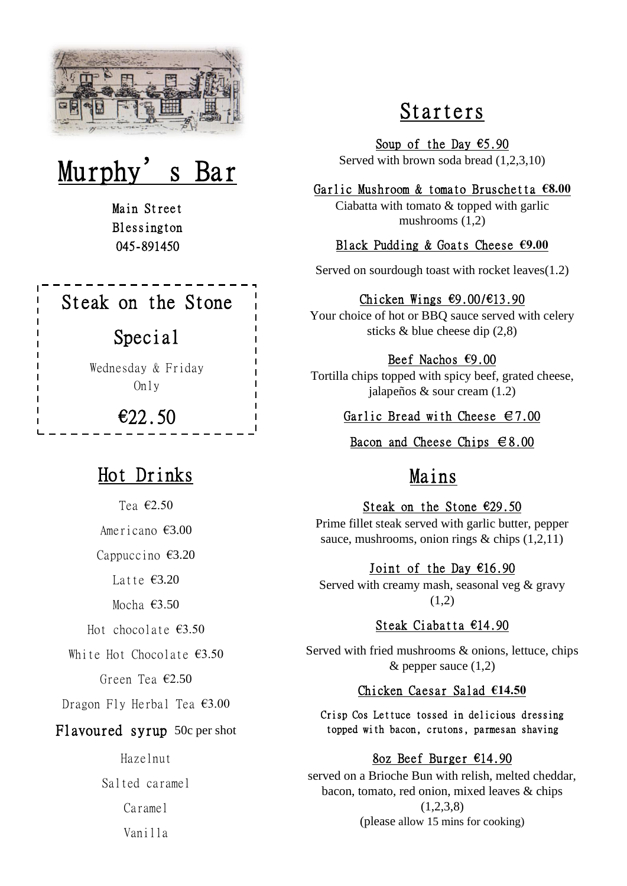

# Murphy's

Main Street Blessington 045-891450

## Steak on the Stone

### Special

Wednesday & Friday Only

€22.50

## Hot Drinks

Tea €2.50

Americano €3.00

Cappuccino €3.20

Latte €3.20

Mocha €3.50

Hot chocolate  $€3.50$ 

White Hot Chocolate €3.50

Green Tea €2.50

Dragon Fly Herbal Tea €3.00

#### Flavoured syrup 50c per shot

Hazelnut Salted caramel Caramel Vanilla

## Starters

Soup of the Day  $65.90$ Served with brown soda bread (1,2,3,10)

#### Garlic Mushroom & tomato Bruschetta **€8.00**

Ciabatta with tomato & topped with garlic mushrooms (1,2)

#### Black Pudding & Goats Cheese **€9.00**

Served on sourdough toast with rocket leaves(1.2)

#### Chicken Wings €9.00/€13.90

Your choice of hot or BBQ sauce served with celery sticks & blue cheese dip (2,8)

#### Beef Nachos **€**9.00

Tortilla chips topped with spicy beef, grated cheese, jalapeños & sour cream (1.2)

Garlic Bread with Cheese  $\in 7.00$ 

Bacon and Cheese Chips  $68.00$ 

### Mains

Steak on the Stone €29.50 Prime fillet steak served with garlic butter, pepper sauce, mushrooms, onion rings & chips (1,2,11)

#### Joint of the Day  $€16.90$

Served with creamy mash, seasonal veg & gravy  $(1,2)$ 

#### Steak Ciabatta €14.90

Served with fried mushrooms & onions, lettuce, chips  $&$  pepper sauce  $(1,2)$ 

#### Chicken Caesar Salad **€14.50**

Crisp Cos Lettuce tossed in delicious dressing topped with bacon, crutons, parmesan shaving

#### 8oz Beef Burger €14.90

served on a Brioche Bun with relish, melted cheddar, bacon, tomato, red onion, mixed leaves & chips  $(1,2,3,8)$ (please allow 15 mins for cooking)